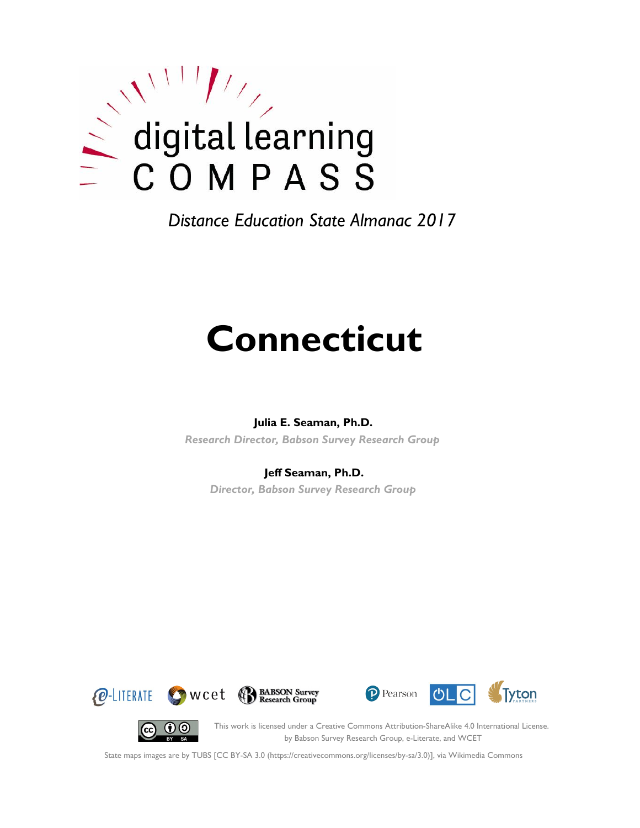

*Distance Education State Almanac 2017*

# **Connecticut**

#### **Julia E. Seaman, Ph.D.**

*Research Director, Babson Survey Research Group*

#### **Jeff Seaman, Ph.D.**

*Director, Babson Survey Research Group*









This work is licensed under a Creative Commons Attribution-ShareAlike 4.0 International License. by Babson Survey Research Group, e-Literate, and WCET

State maps images are by TUBS [CC BY-SA 3.0 (https://creativecommons.org/licenses/by-sa/3.0)], via Wikimedia Commons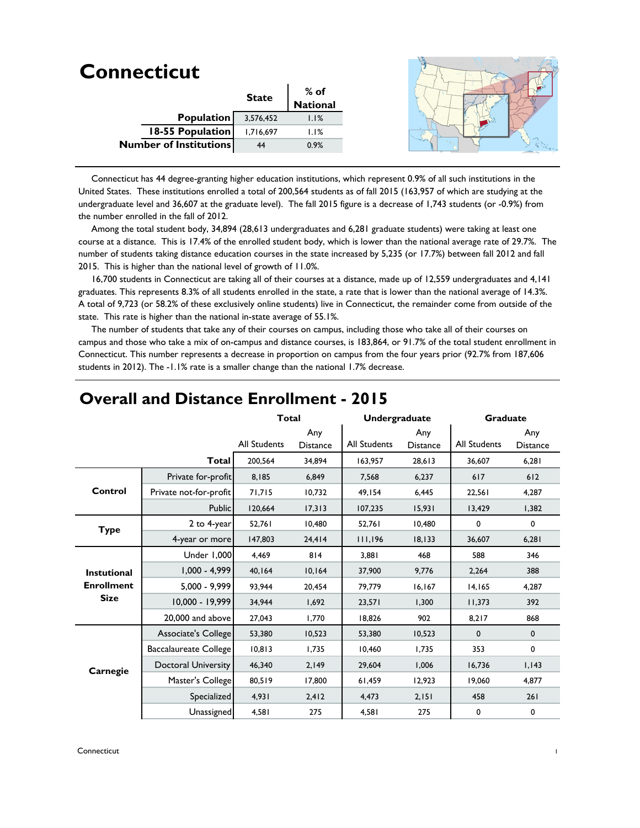|           | $%$ of       |          |
|-----------|--------------|----------|
|           |              |          |
| 3,576,452 | 1.1%         |          |
| 1,716,697 | 1.1%         |          |
| 44        | 0.9%         |          |
|           | <b>State</b> | National |

 Connecticut has 44 degree-granting higher education institutions, which represent 0.9% of all such institutions in the United States. These institutions enrolled a total of 200,564 students as of fall 2015 (163,957 of which are studying at the undergraduate level and 36,607 at the graduate level). The fall 2015 figure is a decrease of 1,743 students (or -0.9%) from the number enrolled in the fall of 2012.

 Among the total student body, 34,894 (28,613 undergraduates and 6,281 graduate students) were taking at least one course at a distance. This is 17.4% of the enrolled student body, which is lower than the national average rate of 29.7%. The number of students taking distance education courses in the state increased by 5,235 (or 17.7%) between fall 2012 and fall 2015. This is higher than the national level of growth of 11.0%.

 16,700 students in Connecticut are taking all of their courses at a distance, made up of 12,559 undergraduates and 4,141 graduates. This represents 8.3% of all students enrolled in the state, a rate that is lower than the national average of 14.3%. A total of 9,723 (or 58.2% of these exclusively online students) live in Connecticut, the remainder come from outside of the state. This rate is higher than the national in-state average of 55.1%.

 The number of students that take any of their courses on campus, including those who take all of their courses on campus and those who take a mix of on-campus and distance courses, is 183,864, or 91.7% of the total student enrollment in Connecticut. This number represents a decrease in proportion on campus from the four years prior (92.7% from 187,606 students in 2012). The -1.1% rate is a smaller change than the national 1.7% decrease.

|                    |                            | <b>Total</b>        |                        | <b>Undergraduate</b> |                        | <b>Graduate</b>     |                        |
|--------------------|----------------------------|---------------------|------------------------|----------------------|------------------------|---------------------|------------------------|
|                    |                            | <b>All Students</b> | Any<br><b>Distance</b> | <b>All Students</b>  | Any<br><b>Distance</b> | <b>All Students</b> | Any<br><b>Distance</b> |
|                    | Total                      | 200,564             | 34,894                 | 163,957              | 28,613                 | 36,607              | 6,281                  |
|                    | Private for-profit         | 8,185               | 6,849                  | 7,568                | 6,237                  | 617                 | 612                    |
| Control            | Private not-for-profit     | 71,715              | 10,732                 | 49,154               | 6,445                  | 22,561              | 4,287                  |
|                    | <b>Public</b>              | 120,664             | 17,313                 | 107,235              | 15,931                 | 13,429              | 1,382                  |
| <b>Type</b>        | 2 to 4-year                | 52,761              | 10,480                 | 52,761               | 10,480                 | 0                   | 0                      |
|                    | 4-year or more             | 147,803             | 24,414                 | 111,196              | 18, 133                | 36,607              | 6,281                  |
|                    | Under 1,000                | 4,469               | 814                    | 3,881                | 468                    | 588                 | 346                    |
| <b>Instutional</b> | $1,000 - 4,999$            | 40,164              | 10,164                 | 37,900               | 9,776                  | 2,264               | 388                    |
| <b>Enrollment</b>  | $5,000 - 9,999$            | 93,944              | 20,454                 | 79,779               | 16,167                 | 14,165              | 4,287                  |
| <b>Size</b>        | 10,000 - 19,999            | 34.944              | 1.692                  | 23.571               | 1.300                  | 11,373              | 392                    |
|                    | 20,000 and above           | 27,043              | 1,770                  | 18,826               | 902                    | 8,217               | 868                    |
|                    | Associate's College        | 53,380              | 10,523                 | 53,380               | 10,523                 | 0                   | $\mathbf 0$            |
|                    | Baccalaureate College      | 10,813              | 1,735                  | 10,460               | 1,735                  | 353                 | 0                      |
| Carnegie           | <b>Doctoral University</b> | 46,340              | 2,149                  | 29,604               | 1,006                  | 16,736              | 1,143                  |
|                    | Master's College           | 80,519              | 17,800                 | 61,459               | 12,923                 | 19.060              | 4.877                  |
|                    | Specialized                | 4,931               | 2,412                  | 4,473                | 2,151                  | 458                 | 261                    |
|                    | Unassigned                 | 4,581               | 275                    | 4,581                | 275                    | 0                   | 0                      |

#### **Overall and Distance Enrollment - 2015**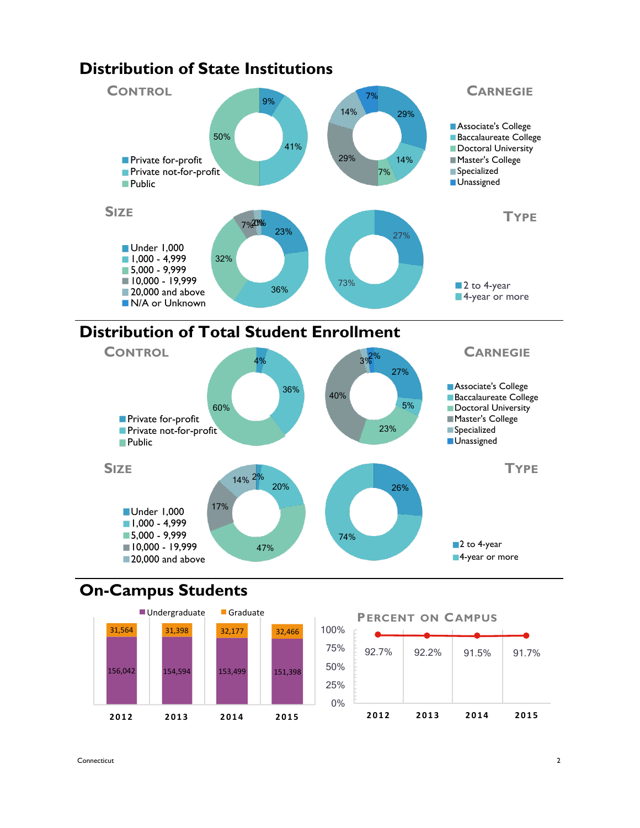



## **On-Campus Students**



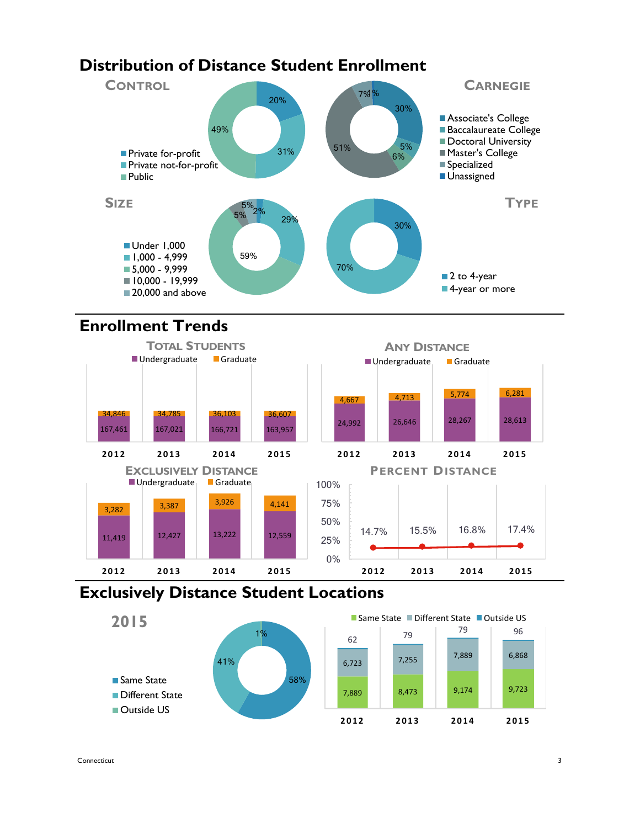# **Distribution of Distance Student Enrollment**



# **Enrollment Trends**



### **Exclusively Distance Student Locations**